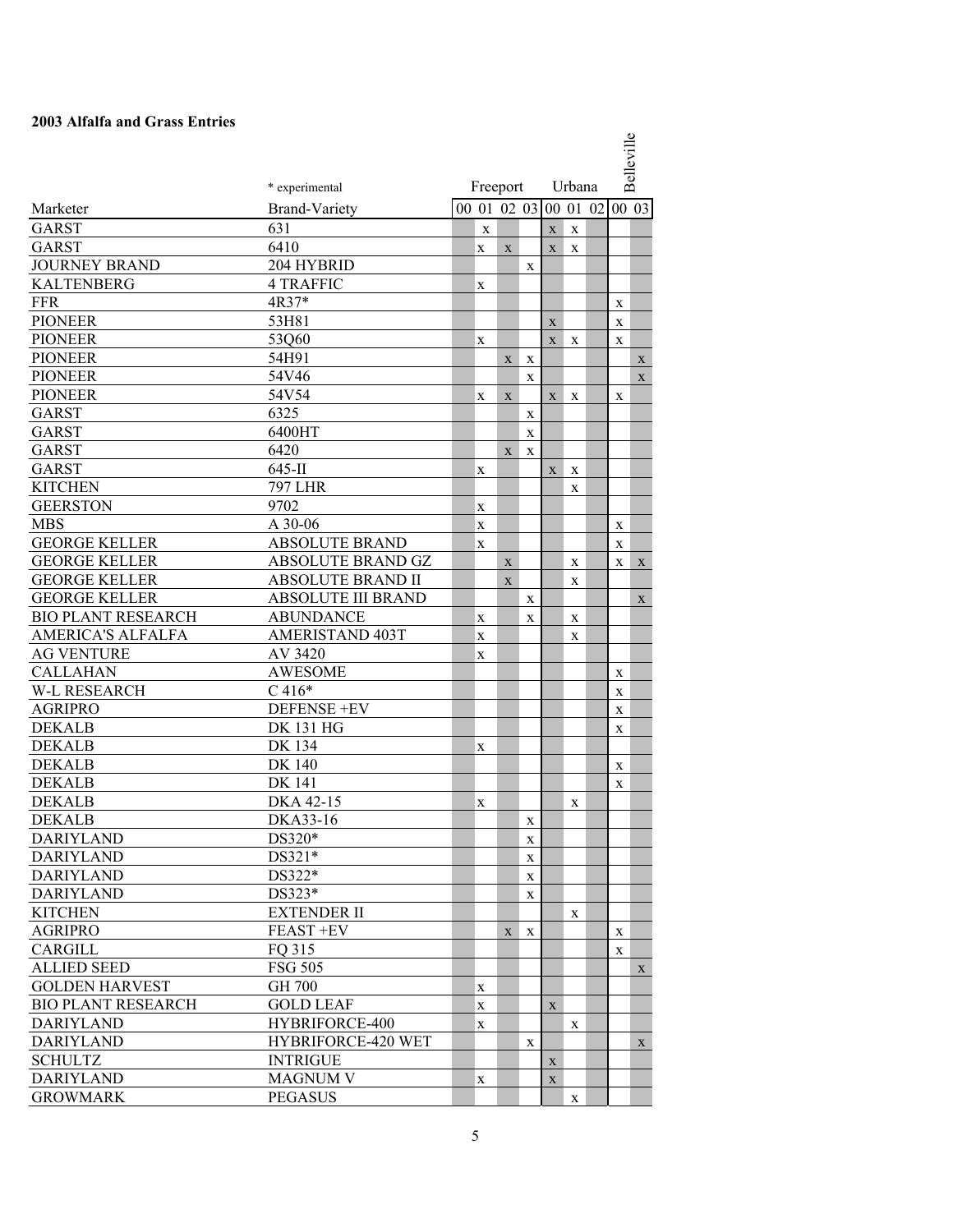## **2003 Alfalfa and Grass Entries**

|                           |                           |                  |             |             |             |             |          | Belleville       |              |  |
|---------------------------|---------------------------|------------------|-------------|-------------|-------------|-------------|----------|------------------|--------------|--|
|                           | * experimental            | Freeport         |             |             |             | Urbana      |          |                  |              |  |
| Marketer                  | <b>Brand-Variety</b>      | 00 01 02 03      |             |             |             |             | 00 01 02 | 00 03            |              |  |
| <b>GARST</b>              | 631                       | $\mathbf X$      |             |             | $\mathbf X$ | $\mathbf X$ |          |                  |              |  |
| <b>GARST</b>              | 6410                      | X                | X           |             | $\mathbf X$ | X           |          |                  |              |  |
| <b>JOURNEY BRAND</b>      | 204 HYBRID                |                  |             | X           |             |             |          |                  |              |  |
| <b>KALTENBERG</b>         | <b>4 TRAFFIC</b>          | X                |             |             |             |             |          |                  |              |  |
| <b>FFR</b>                | 4R37*                     |                  |             |             |             |             |          | X                |              |  |
| <b>PIONEER</b>            | 53H81                     |                  |             |             | $\mathbf X$ |             |          | X                |              |  |
| <b>PIONEER</b>            | 53Q60                     | X                |             |             | X           | X           |          | X                |              |  |
| <b>PIONEER</b>            | 54H91                     |                  | X           | X           |             |             |          |                  | X            |  |
| <b>PIONEER</b>            | 54V46                     |                  |             | X           |             |             |          |                  | $\mathbf{X}$ |  |
| <b>PIONEER</b>            | 54V54                     | X                | X           |             | X           | X           |          | X                |              |  |
| <b>GARST</b>              | 6325                      |                  |             | $\mathbf X$ |             |             |          |                  |              |  |
| <b>GARST</b>              | 6400HT                    |                  |             | X           |             |             |          |                  |              |  |
| <b>GARST</b>              | 6420                      |                  | X           | $\mathbf X$ |             |             |          |                  |              |  |
| <b>GARST</b>              | $645$ -II                 | X                |             |             | X           | X           |          |                  |              |  |
| <b>KITCHEN</b>            | <b>797 LHR</b>            |                  |             |             |             | X           |          |                  |              |  |
| <b>GEERSTON</b>           | 9702                      |                  |             |             |             |             |          |                  |              |  |
| <b>MBS</b>                | A 30-06                   | X                |             |             |             |             |          |                  |              |  |
| <b>GEORGE KELLER</b>      | <b>ABSOLUTE BRAND</b>     | X<br>X           |             |             |             |             |          | X<br>$\mathbf X$ |              |  |
| <b>GEORGE KELLER</b>      | <b>ABSOLUTE BRAND GZ</b>  |                  |             |             |             |             |          |                  |              |  |
| <b>GEORGE KELLER</b>      | <b>ABSOLUTE BRAND II</b>  |                  | $\mathbf X$ |             |             | X           |          | X                | $\mathbf X$  |  |
| <b>GEORGE KELLER</b>      | <b>ABSOLUTE III BRAND</b> |                  | X           |             |             | X           |          |                  |              |  |
| <b>BIO PLANT RESEARCH</b> | <b>ABUNDANCE</b>          |                  |             | $\mathbf X$ |             |             |          |                  | $\mathbf X$  |  |
| <b>AMERICA'S ALFALFA</b>  | <b>AMERISTAND 403T</b>    | X                |             | X           |             | $\mathbf X$ |          |                  |              |  |
| <b>AG VENTURE</b>         | AV 3420                   | X<br>X           |             |             |             | $\mathbf X$ |          |                  |              |  |
| <b>CALLAHAN</b>           | <b>AWESOME</b>            |                  |             |             |             |             |          |                  |              |  |
| <b>W-L RESEARCH</b>       | $C416*$                   |                  |             |             |             |             |          | X                |              |  |
| <b>AGRIPRO</b>            | <b>DEFENSE +EV</b>        |                  |             |             |             |             |          | X<br>X           |              |  |
| <b>DEKALB</b>             | <b>DK 131 HG</b>          |                  |             |             |             |             |          | X                |              |  |
| <b>DEKALB</b>             | DK 134                    |                  |             |             |             |             |          |                  |              |  |
| <b>DEKALB</b>             | <b>DK 140</b>             | X                |             |             |             |             |          | X                |              |  |
| <b>DEKALB</b>             | <b>DK</b> 141             |                  |             |             |             |             |          | X                |              |  |
| <b>DEKALB</b>             | DKA 42-15                 |                  |             |             |             | X           |          |                  |              |  |
| <b>DEKALB</b>             | DKA33-16                  | X                |             | X           |             |             |          |                  |              |  |
| <b>DARIYLAND</b>          | DS320*                    |                  |             | X           |             |             |          |                  |              |  |
| <b>DARIYLAND</b>          | $DS321*$                  |                  |             | X           |             |             |          |                  |              |  |
| <b>DARIYLAND</b>          | DS322*                    |                  |             | X           |             |             |          |                  |              |  |
| <b>DARIYLAND</b>          | DS323*                    |                  |             | X           |             |             |          |                  |              |  |
| <b>KITCHEN</b>            | <b>EXTENDER II</b>        |                  |             |             |             | X           |          |                  |              |  |
| <b>AGRIPRO</b>            | <b>FEAST +EV</b>          |                  | X           | X           |             |             |          | X                |              |  |
| CARGILL                   | FQ 315                    |                  |             |             |             |             |          | X                |              |  |
| <b>ALLIED SEED</b>        | <b>FSG 505</b>            |                  |             |             |             |             |          |                  |              |  |
| <b>GOLDEN HARVEST</b>     | <b>GH 700</b>             |                  |             |             |             |             |          |                  | X            |  |
| <b>BIO PLANT RESEARCH</b> | <b>GOLD LEAF</b>          | X<br>$\mathbf X$ |             |             | $\mathbf X$ |             |          |                  |              |  |
| <b>DARIYLAND</b>          | <b>HYBRIFORCE-400</b>     |                  |             |             |             |             |          |                  |              |  |
| <b>DARIYLAND</b>          | HYBRIFORCE-420 WET        | X                |             |             |             | X           |          |                  |              |  |
| <b>SCHULTZ</b>            | <b>INTRIGUE</b>           |                  |             | X           | $\mathbf X$ |             |          |                  | X            |  |
| <b>DARIYLAND</b>          | <b>MAGNUM V</b>           | X                |             |             | $\mathbf X$ |             |          |                  |              |  |
| <b>GROWMARK</b>           | <b>PEGASUS</b>            |                  |             |             |             | X           |          |                  |              |  |
|                           |                           |                  |             |             |             |             |          |                  |              |  |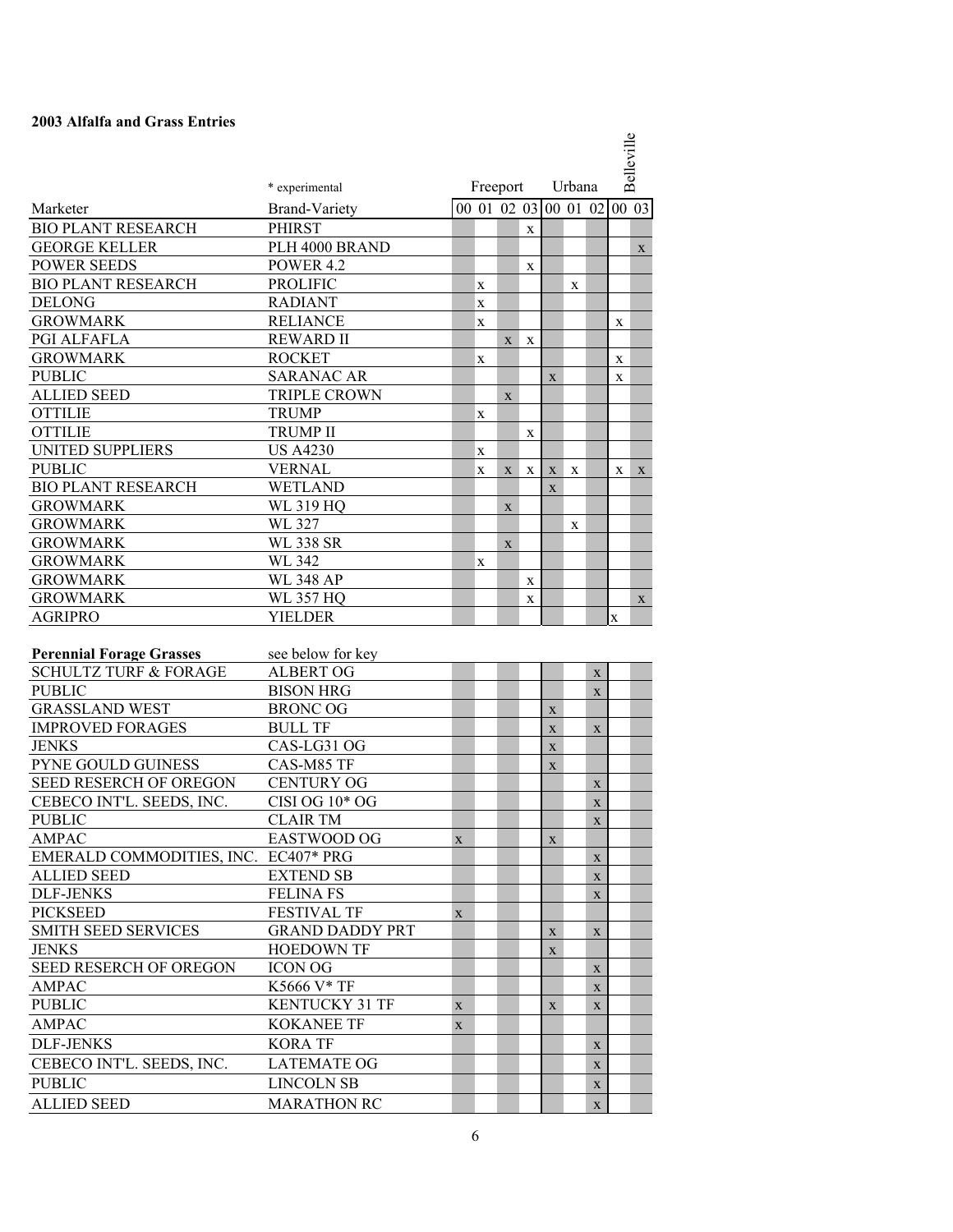## **2003 Alfalfa and Grass Entries**

|                                      |                        |             |                          |             |             |             |   | Belleville<br>Urbana |       |             |  |  |
|--------------------------------------|------------------------|-------------|--------------------------|-------------|-------------|-------------|---|----------------------|-------|-------------|--|--|
|                                      | * experimental         |             | Freeport                 |             |             |             |   |                      |       |             |  |  |
| Marketer                             | <b>Brand-Variety</b>   |             | $\overline{00}$ 01 02 03 |             |             |             |   | 00 01 02             | 00 03 |             |  |  |
| <b>BIO PLANT RESEARCH</b>            | <b>PHIRST</b>          |             |                          |             | $\mathbf X$ |             |   |                      |       |             |  |  |
| <b>GEORGE KELLER</b>                 | PLH 4000 BRAND         |             |                          |             |             |             |   |                      |       | X           |  |  |
| <b>POWER SEEDS</b>                   | <b>POWER 4.2</b>       |             |                          |             | X           |             |   |                      |       |             |  |  |
| <b>BIO PLANT RESEARCH</b>            | <b>PROLIFIC</b>        |             | X                        |             |             |             | X |                      |       |             |  |  |
| <b>DELONG</b>                        | <b>RADIANT</b>         |             | X                        |             |             |             |   |                      |       |             |  |  |
| <b>GROWMARK</b>                      | <b>RELIANCE</b>        |             | X                        |             |             |             |   |                      | X     |             |  |  |
| PGI ALFAFLA                          | <b>REWARD II</b>       |             |                          | X           | X           |             |   |                      |       |             |  |  |
| <b>GROWMARK</b>                      | <b>ROCKET</b>          |             | X                        |             |             |             |   |                      | X     |             |  |  |
| <b>PUBLIC</b>                        | <b>SARANAC AR</b>      |             |                          |             |             | $\mathbf X$ |   |                      | X     |             |  |  |
| <b>ALLIED SEED</b>                   | <b>TRIPLE CROWN</b>    |             |                          | X           |             |             |   |                      |       |             |  |  |
| <b>OTTILIE</b>                       | <b>TRUMP</b>           |             | X                        |             |             |             |   |                      |       |             |  |  |
| <b>OTTILIE</b>                       | <b>TRUMP II</b>        |             |                          |             | X           |             |   |                      |       |             |  |  |
| <b>UNITED SUPPLIERS</b>              | <b>US A4230</b>        |             | X                        |             |             |             |   |                      |       |             |  |  |
| <b>PUBLIC</b>                        | <b>VERNAL</b>          |             | X                        | X           | X           | $\mathbf X$ | X |                      | X     | $\mathbf X$ |  |  |
| <b>BIO PLANT RESEARCH</b>            | <b>WETLAND</b>         |             |                          |             |             | $\mathbf X$ |   |                      |       |             |  |  |
| <b>GROWMARK</b>                      | <b>WL 319 HQ</b>       |             |                          | $\mathbf X$ |             |             |   |                      |       |             |  |  |
| <b>GROWMARK</b>                      | WL 327                 |             |                          |             |             |             | X |                      |       |             |  |  |
| <b>GROWMARK</b>                      | <b>WL 338 SR</b>       |             |                          | $\mathbf X$ |             |             |   |                      |       |             |  |  |
| <b>GROWMARK</b>                      | WL 342                 |             | X                        |             |             |             |   |                      |       |             |  |  |
| <b>GROWMARK</b>                      | <b>WL 348 AP</b>       |             |                          |             | $\mathbf X$ |             |   |                      |       |             |  |  |
| <b>GROWMARK</b>                      | <b>WL 357 HQ</b>       |             |                          |             | $\mathbf X$ |             |   |                      |       | $\mathbf X$ |  |  |
| <b>AGRIPRO</b>                       | <b>YIELDER</b>         |             |                          |             |             |             |   |                      | X     |             |  |  |
|                                      |                        |             |                          |             |             |             |   |                      |       |             |  |  |
| <b>Perennial Forage Grasses</b>      | see below for key      |             |                          |             |             |             |   |                      |       |             |  |  |
| <b>SCHULTZ TURF &amp; FORAGE</b>     | <b>ALBERT OG</b>       |             |                          |             |             |             |   | $\mathbf X$          |       |             |  |  |
| <b>PUBLIC</b>                        | <b>BISON HRG</b>       |             |                          |             |             |             |   | $\mathbf X$          |       |             |  |  |
| <b>GRASSLAND WEST</b>                | <b>BRONC OG</b>        |             |                          |             |             | $\mathbf X$ |   |                      |       |             |  |  |
| <b>IMPROVED FORAGES</b>              | <b>BULL TF</b>         |             |                          |             |             | $\mathbf X$ |   | $\mathbf X$          |       |             |  |  |
| <b>JENKS</b>                         | CAS-LG31 OG            |             |                          |             |             | $\mathbf X$ |   |                      |       |             |  |  |
| PYNE GOULD GUINESS                   | CAS-M85 TF             |             |                          |             |             | X           |   |                      |       |             |  |  |
| SEED RESERCH OF OREGON               | <b>CENTURY OG</b>      |             |                          |             |             |             |   | $\mathbf X$          |       |             |  |  |
| CEBECO INT'L. SEEDS, INC.            | CISI OG 10* OG         |             |                          |             |             |             |   | $\mathbf X$          |       |             |  |  |
| <b>PUBLIC</b>                        | <b>CLAIR TM</b>        |             |                          |             |             |             |   | $\mathbf X$          |       |             |  |  |
| <b>AMPAC</b>                         | EASTWOOD OG            | X           |                          |             |             | X           |   |                      |       |             |  |  |
| EMERALD COMMODITIES, INC. EC407* PRG |                        |             |                          |             |             |             |   | $\mathbf X$          |       |             |  |  |
| <b>ALLIED SEED</b>                   | <b>EXTEND SB</b>       |             |                          |             |             |             |   | $\mathbf X$          |       |             |  |  |
| <b>DLF-JENKS</b>                     | <b>FELINA FS</b>       |             |                          |             |             |             |   | X                    |       |             |  |  |
| <b>PICKSEED</b>                      | <b>FESTIVAL TF</b>     | X           |                          |             |             |             |   |                      |       |             |  |  |
| <b>SMITH SEED SERVICES</b>           | <b>GRAND DADDY PRT</b> |             |                          |             |             | $\mathbf X$ |   | X                    |       |             |  |  |
| <b>JENKS</b>                         | <b>HOEDOWN TF</b>      |             |                          |             |             | $\mathbf X$ |   |                      |       |             |  |  |
| <b>SEED RESERCH OF OREGON</b>        | <b>ICON OG</b>         |             |                          |             |             |             |   | X                    |       |             |  |  |
| AMPAC                                | K5666 V* TF            |             |                          |             |             |             |   | $\mathbf X$          |       |             |  |  |
| <b>PUBLIC</b>                        | <b>KENTUCKY 31 TF</b>  | $\mathbf X$ |                          |             |             | X           |   | $\mathbf X$          |       |             |  |  |
| AMPAC                                | <b>KOKANEE TF</b>      | X           |                          |             |             |             |   |                      |       |             |  |  |
|                                      | <b>KORA TF</b>         |             |                          |             |             |             |   |                      |       |             |  |  |
| <b>DLF-JENKS</b>                     |                        |             |                          |             |             |             |   | X                    |       |             |  |  |
| CEBECO INT'L. SEEDS, INC.            | <b>LATEMATE OG</b>     |             |                          |             |             |             |   | $\mathbf X$          |       |             |  |  |
| <b>PUBLIC</b>                        | <b>LINCOLN SB</b>      |             |                          |             |             |             |   | $\mathbf X$          |       |             |  |  |
| <b>ALLIED SEED</b>                   | <b>MARATHON RC</b>     |             |                          |             |             |             |   | $\mathbf X$          |       |             |  |  |